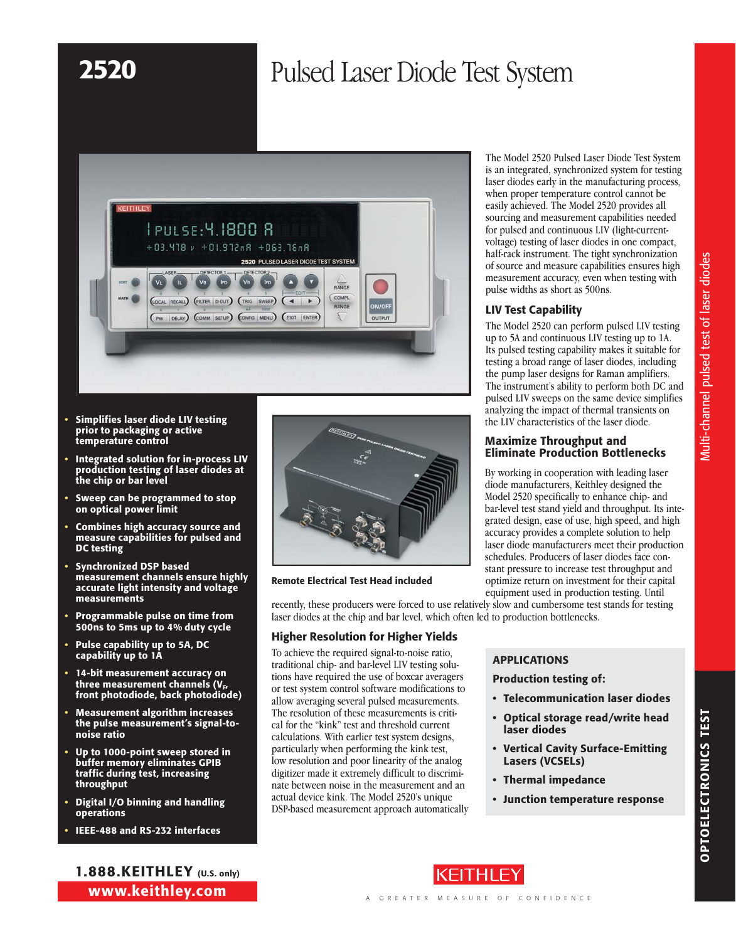# 2520 Pulsed Laser Diode Test System



- Simplifies laser diode LIV testing prior to packaging or active temperature control
- Integrated solution for in-process LIV production testing of laser diodes at the chip or bar level
- Sweep can be programmed to stop on optical power limit
- Combines high accuracy source and measure capabilities for pulsed and DC testing
- Synchronized DSP based measurement channels ensure highly accurate light intensity and voltage measurements
- Programmable pulse on time from 500ns to 5ms up to 4% duty cycle
- Pulse capability up to 5A, DC capability up to 1A
- 14-bit measurement accuracy on three measurement channels  $(V_{F}$ front photodiode, back photodiode)
- Measurement algorithm increases the pulse measurement's signal-tonoise ratio
- Up to 1000-point sweep stored in buffer memory eliminates GPIB traffic during test, increasing throughput
- Digital I/O binning and handling operations
- IEEE-488 and RS-232 interfaces

1.888.KEITHLEY (U.S. only) www.keithley.com



### Remote Electrical Test Head included

recently, these producers were forced to use relatively slow and cumbersome test stands for testing laser diodes at the chip and bar level, which often led to production bottlenecks.

## Higher Resolution for Higher Yields

To achieve the required signal-to-noise ratio, traditional chip- and bar-level LIV testing solutions have required the use of boxcar averagers or test system control software modifications to allow averaging several pulsed measurements. The resolution of these measurements is critical for the "kink" test and threshold current calculations. With earlier test system designs, particularly when performing the kink test, low resolution and poor linearity of the analog digitizer made it extremely difficult to discriminate between noise in the measurement and an actual device kink. The Model 2520's unique DSP-based measurement approach automatically The Model 2520 Pulsed Laser Diode Test System is an integrated, synchronized system for testing laser diodes early in the manufacturing process, when proper temperature control cannot be easily achieved. The Model 2520 provides all sourcing and measurement capabilities needed for pulsed and continuous LIV (light-currentvoltage) testing of laser diodes in one compact, half-rack instrument. The tight synchronization of source and measure capabilities ensures high measurement accuracy, even when testing with pulse widths as short as 500ns.

# LIV Test Capability

The Model 2520 can perform pulsed LIV testing up to 5A and continuous LIV testing up to 1A. Its pulsed testing capability makes it suitable for testing a broad range of laser diodes, including the pump laser designs for Raman amplifiers. The instrument's ability to perform both DC and pulsed LIV sweeps on the same device simplifies analyzing the impact of thermal transients on the LIV characteristics of the laser diode.

### Maximize Throughput and Eliminate Production Bottlenecks

By working in cooperation with leading laser diode manufacturers, Keithley designed the Model 2520 specifically to enhance chip- and bar-level test stand yield and throughput. Its integrated design, ease of use, high speed, and high accuracy provides a complete solution to help laser diode manufacturers meet their production schedules. Producers of laser diodes face constant pressure to increase test throughput and optimize return on investment for their capital equipment used in production testing. Until

# Applications

## Production testing of:

- • Telecommunication laser diodes
- • Optical storage read/write head laser diodes
- Vertical Cavity Surface-Emitting Lasers (VCSELs)
- • Thermal impedance
- • Junction temperature response

Multi-channel pulsed test of laser diodes

Multi-channel pulsed test of laser diodes

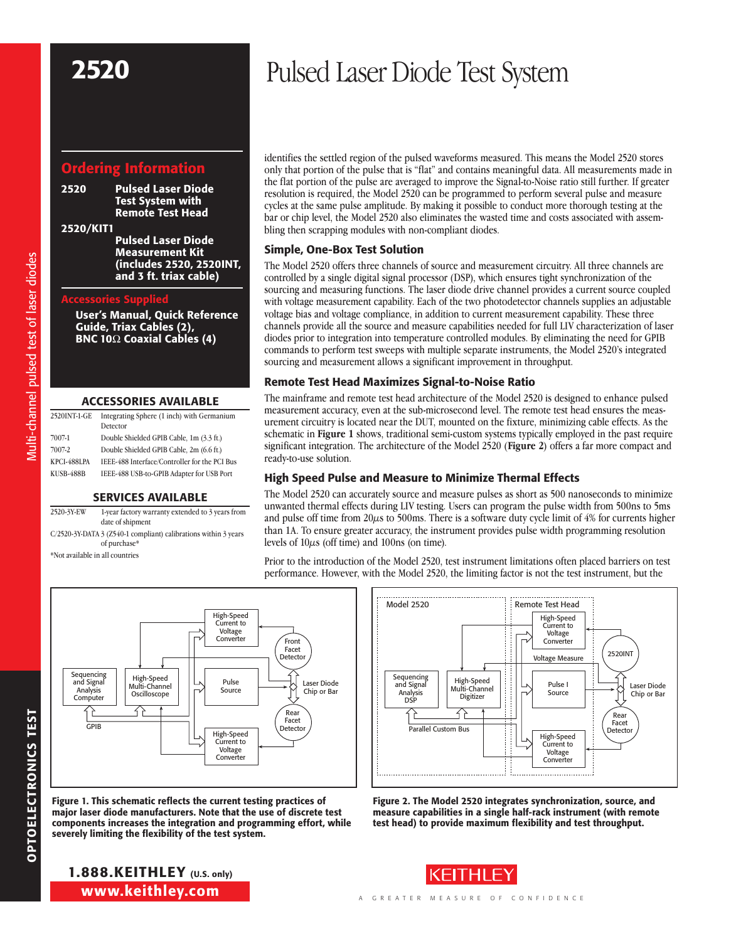# Ordering Information

2520 Pulsed Laser Diode Test System with Remote Test Head

2520/KIT1

Pulsed Laser Diode Measurement Kit (includes 2520, 2520INT, and 3 ft. triax cable)

### Accessories Supplied

User's Manual, Quick Reference Guide, Triax Cables (2), BNC 10 $\Omega$  Coaxial Cables (4)

#### Accessories Available

| 2520INT-1-GE             | Integrating Sphere (1 inch) with Germanium<br>Detector                                     |
|--------------------------|--------------------------------------------------------------------------------------------|
| 7007-1                   | Double Shielded GPIB Cable, 1m (3.3 ft.)                                                   |
| 7007-2                   | Double Shielded GPIB Cable, 2m (6.6 ft.)                                                   |
| KPCI-488LPA<br>KUSB-488B | IEEE-488 Interface/Controller for the PCI Bus<br>IEEE-488 USB-to-GPIB Adapter for USB Port |

#### Services Available

2520-3Y-EW 1-year factory warranty extended to 3 years from date of shipment C/2520-3Y-DATA 3 (Z540-1 compliant) calibrations within 3 years of purchase\*

\*Not available in all countries

# 2520 Pulsed Laser Diode Test System

identifies the settled region of the pulsed waveforms measured. This means the Model 2520 stores only that portion of the pulse that is "flat" and contains meaningful data. All measurements made in the flat portion of the pulse are averaged to improve the Signal-to-Noise ratio still further. If greater resolution is required, the Model 2520 can be programmed to perform several pulse and measure cycles at the same pulse amplitude. By making it possible to conduct more thorough testing at the bar or chip level, the Model 2520 also eliminates the wasted time and costs associated with assembling then scrapping modules with non-compliant diodes.

## Simple, One-Box Test Solution

The Model 2520 offers three channels of source and measurement circuitry. All three channels are controlled by a single digital signal processor (DSP), which ensures tight synchronization of the sourcing and measuring functions. The laser diode drive channel provides a current source coupled with voltage measurement capability. Each of the two photodetector channels supplies an adjustable voltage bias and voltage compliance, in addition to current measurement capability. These three channels provide all the source and measure capabilities needed for full LIV characterization of laser diodes prior to integration into temperature controlled modules. By eliminating the need for GPIB commands to perform test sweeps with multiple separate instruments, the Model 2520's integrated sourcing and measurement allows a significant improvement in throughput.

## Remote Test Head Maximizes Signal-to-Noise Ratio

The mainframe and remote test head architecture of the Model 2520 is designed to enhance pulsed measurement accuracy, even at the sub-microsecond level. The remote test head ensures the measurement circuitry is located near the DUT, mounted on the fixture, minimizing cable effects. As the schematic in **Figure 1** shows, traditional semi-custom systems typically employed in the past require significant integration. The architecture of the Model 2520 (**Figure 2**) offers a far more compact and ready-to-use solution.

# High Speed Pulse and Measure to Minimize Thermal Effects

The Model 2520 can accurately source and measure pulses as short as 500 nanoseconds to minimize unwanted thermal effects during LIV testing. Users can program the pulse width from 500ns to 5ms and pulse off time from 20 $\mu$ s to 500ms. There is a software duty cycle limit of 4% for currents higher than 1A. To ensure greater accuracy, the instrument provides pulse width programming resolution levels of  $10\mu s$  (off time) and  $100ns$  (on time).

Prior to the introduction of the Model 2520, test instrument limitations often placed barriers on test performance. However, with the Model 2520, the limiting factor is not the test instrument, but the



Figure 1. This schematic reflects the current testing practices of major laser diode manufacturers. Note that the use of discrete test components increases the integration and programming effort, while severely limiting the flexibility of the test system.



Figure 2. The Model 2520 integrates synchronization, source, and measure capabilities in a single half-rack instrument (with remote test head) to provide maximum flexibility and test throughput.

# www.keithley.com 1.888.KEITHLEY (U.S. only)



OPTOELECTRONICS TEST

**OPTOELECTRONICS TEST**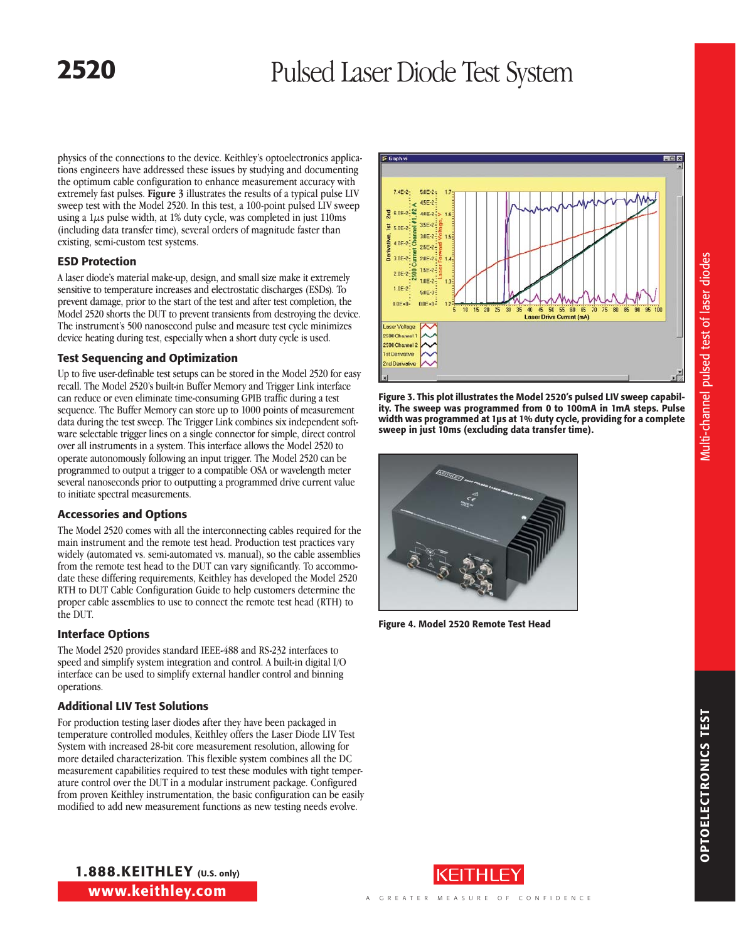# **2520** Pulsed Laser Diode Test System

physics of the connections to the device. Keithley's optoelectronics applications engineers have addressed these issues by studying and documenting the optimum cable configuration to enhance measurement accuracy with extremely fast pulses. **Figure 3** illustrates the results of a typical pulse LIV sweep test with the Model 2520. In this test, a 100-point pulsed LIV sweep using a  $1\mu s$  pulse width, at 1% duty cycle, was completed in just 110ms (including data transfer time), several orders of magnitude faster than existing, semi-custom test systems.

# ESD Protection

A laser diode's material make-up, design, and small size make it extremely sensitive to temperature increases and electrostatic discharges (ESDs). To prevent damage, prior to the start of the test and after test completion, the Model 2520 shorts the DUT to prevent transients from destroying the device. The instrument's 500 nanosecond pulse and measure test cycle minimizes device heating during test, especially when a short duty cycle is used.

# Test Sequencing and Optimization

Up to five user-definable test setups can be stored in the Model 2520 for easy recall. The Model 2520's built-in Buffer Memory and Trigger Link interface can reduce or even eliminate time-consuming GPIB traffic during a test sequence. The Buffer Memory can store up to 1000 points of measurement data during the test sweep. The Trigger Link combines six independent software selectable trigger lines on a single connector for simple, direct control over all instruments in a system. This interface allows the Model 2520 to operate autonomously following an input trigger. The Model 2520 can be programmed to output a trigger to a compatible OSA or wavelength meter several nanoseconds prior to outputting a programmed drive current value to initiate spectral measurements.

# Accessories and Options

The Model 2520 comes with all the interconnecting cables required for the main instrument and the remote test head. Production test practices vary widely (automated vs. semi-automated vs. manual), so the cable assemblies from the remote test head to the DUT can vary significantly. To accommodate these differing requirements, Keithley has developed the Model 2520 RTH to DUT Cable Configuration Guide to help customers determine the proper cable assemblies to use to connect the remote test head (RTH) to the DUT.

# Interface Options

The Model 2520 provides standard IEEE-488 and RS-232 interfaces to speed and simplify system integration and control. A built-in digital I/O interface can be used to simplify external handler control and binning operations.

# Additional LIV Test Solutions

For production testing laser diodes after they have been packaged in temperature controlled modules, Keithley offers the Laser Diode LIV Test System with increased 28-bit core measurement resolution, allowing for more detailed characterization. This flexible system combines all the DC measurement capabilities required to test these modules with tight temperature control over the DUT in a modular instrument package. Configured from proven Keithley instrumentation, the basic configuration can be easily modified to add new measurement functions as new testing needs evolve.



Figure 3. This plot illustrates the Model 2520's pulsed LIV sweep capability. The sweep was programmed from 0 to 100mA in 1mA steps. Pulse width was programmed at 1µs at 1% duty cycle, providing for a complete sweep in just 10ms (excluding data transfer time).



Figure 4. Model 2520 Remote Test Head



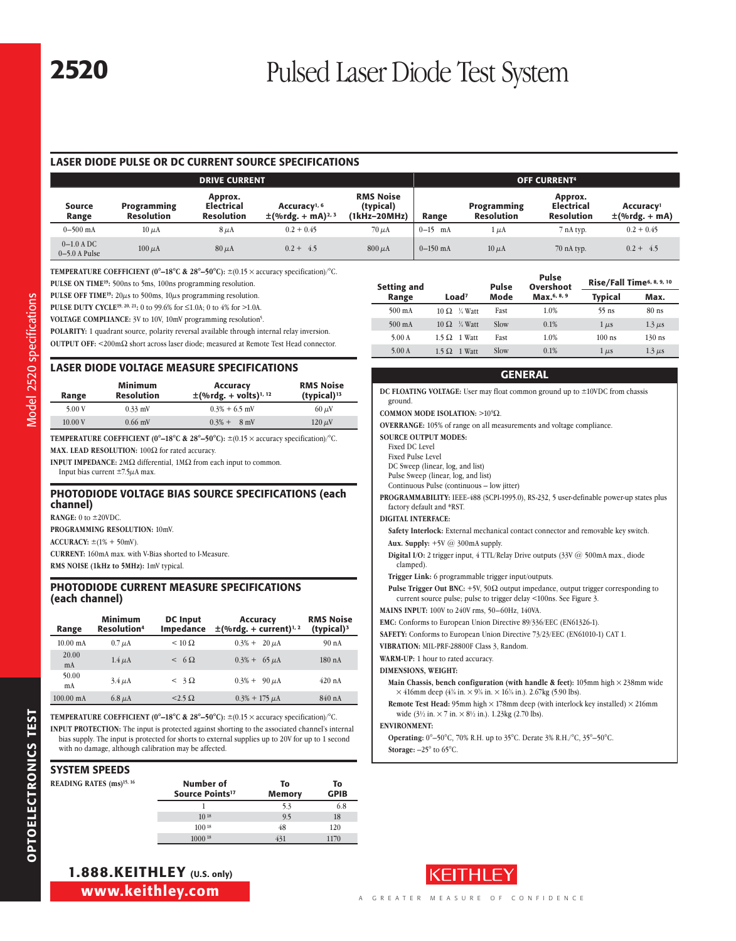# LASER DIODE PULSE OR DC CURRENT SOURCE SPECIFICATIONS

| <b>DRIVE CURRENT</b>            |                                         |                                                   |                                                                |                                               |            | <b>OFF CURRENT4</b>              |                                                   |                                             |
|---------------------------------|-----------------------------------------|---------------------------------------------------|----------------------------------------------------------------|-----------------------------------------------|------------|----------------------------------|---------------------------------------------------|---------------------------------------------|
| Source<br>Range                 | <b>Programming</b><br><b>Resolution</b> | Approx.<br><b>Electrical</b><br><b>Resolution</b> | Accuracy <sup>1, 6</sup><br>$\pm$ (%rdg. + mA) <sup>2, 3</sup> | <b>RMS Noise</b><br>(typical)<br>(1kHz-20MHz) | Range      | Programming<br><b>Resolution</b> | Approx.<br><b>Electrical</b><br><b>Resolution</b> | Accuracy <sup>1</sup><br>$\pm$ (%rdg. + mA) |
| $0 - 500$ mA                    | $10 \mu A$                              | $8 \mu A$                                         | $0.2 + 0.45$                                                   | $70 \mu A$                                    | $0-15$ mA  | . uA                             | 7 nA typ.                                         | $0.2 + 0.45$                                |
| $0-1.0$ A DC<br>$0-5.0$ A Pulse | $100 \mu A$                             | $80 \mu A$                                        | $0.2 + 4.5$                                                    | $800 \mu A$                                   | $0-150$ mA | $10 \mu A$                       | $70$ nA typ.                                      | $0.2 + 4.5$                                 |

**TEMPERATURE COEFFICIENT (0°–18°C & 28°–50°C):** ±(0.15 × accuracy specification)/°C.

**PULSE ON TIME19:** 500ns to 5ms, 100ns programming resolution.

PULSE OFF TIME<sup>19</sup>: 20 $\mu$ s to 500ms, 10 $\mu$ s programming resolution.

**PULSE DUTY CYCLE19, 20, 21:** 0 to 99.6% for ≤1.0A; 0 to 4% for >1.0A.

VOLTAGE COMPLIANCE: 3V to 10V, 10mV programming resolution<sup>5</sup>.

**POLARITY:** 1 quadrant source, polarity reversal available through internal relay inversion.

**OUTPUT OFF:**  $\leq$ 200m $\Omega$  short across laser diode; measured at Remote Test Head connector.

# LASER DIODE VOLTAGE MEASURE SPECIFICATIONS

| Range  | Minimum<br><b>Resolution</b> | Accuracy<br>$\pm$ (%rdg. + volts) <sup>1, 12</sup> | <b>RMS Noise</b><br>(typical) <sup>13</sup> |
|--------|------------------------------|----------------------------------------------------|---------------------------------------------|
| 5.00 V | $0.33$ mV                    | $0.3\% + 6.5$ mV                                   | $60 \mu V$                                  |
| 10.00V | $0.66$ mV                    | $0.3% +$<br>$8 \text{ mV}$                         | $120 \mu V$                                 |

**TEMPERATURE COEFFICIENT (0°–18°C & 28°–50°C):** ±(0.15 × accuracy specification)/°C.

**MAX. LEAD RESOLUTION:**  $100\Omega$  for rated accuracy.

**INPUT IMPEDANCE:**  $2M\Omega$  differential,  $1M\Omega$  from each input to common.

Input bias current ±7.5µA max.

### PHOTODIODE VOLTAGE BIAS SOURCE SPECIFICATIONS (each channel)

**RANGE:** 0 to ±20VDC.

**PROGRAMMING RESOLUTION:** 10mV.

**ACCURACY:** ±(1% + 50mV).

**CURRENT:** 160mA max. with V-Bias shorted to I-Measure. **RMS NOISE (1kHz to 5MHz):** 1mV typical.

## PHOTODIODE CURRENT MEASURE SPECIFICATIONS (each channel)

| Range               | <b>Minimum</b><br><b>Resolution</b> <sup>4</sup> | <b>DC</b> Input<br>Impedance | <b>Accuracy</b><br>$\pm$ (%rdg. + current) <sup>1, 2</sup> | <b>RMS Noise</b><br>(typical) <sup>3</sup> |
|---------------------|--------------------------------------------------|------------------------------|------------------------------------------------------------|--------------------------------------------|
| $10.00 \text{ mA}$  | $0.7 \mu A$                                      | $< 10 \Omega$                | $0.3\% + 20 \mu A$                                         | 90 <sub>nA</sub>                           |
| 20.00<br>mA         | $1.4 \mu A$                                      | $< 6 \Omega$                 | $0.3\% + 65 \mu A$                                         | $180$ nA                                   |
| 50.00<br>mA         | $3.4 \mu A$                                      | $<$ 3 $\Omega$               | $0.3\% + 90 \mu A$                                         | 420 nA                                     |
| $100.00 \text{ mA}$ | $6.8 \mu A$                                      | $<$ 2.5 $\Omega$             | $0.3\% + 175 \mu A$                                        | 840nA                                      |

**TEMPERATURE COEFFICIENT (0°–18°C & 28°–50°C):** ±(0.15 × accuracy specification)/°C. **INPUT PROTECTION:** The input is protected against shorting to the associated channel's internal bias supply. The input is protected for shorts to external supplies up to 20V for up to 1 second with no damage, although calibration may be affected.

# SYSTEM SPEEDS

| <b>READING RATES (ms)</b> <sup>15, 16</sup> | Number of<br>Source Points <sup>17</sup> | To<br>Memory | To<br><b>GPIB</b> |
|---------------------------------------------|------------------------------------------|--------------|-------------------|
|                                             |                                          | 5.3          | 6.8               |
|                                             | $10^{18}$                                | 9.5          | 18                |
|                                             | $100^{18}$                               | 48           | 120               |
|                                             | $1000^{18}$                              | 431          | 1170              |

| <b>Setting and</b> | Pulse                  |      | ruise<br>Overshoot | Rise/Fall Time <sup>6, 8, 9, 10</sup> |             |
|--------------------|------------------------|------|--------------------|---------------------------------------|-------------|
| Range              | Load <sup>7</sup>      | Mode | Max.6, 8, 9        | <b>Typical</b>                        | Max.        |
| $500 \text{ mA}$   | $10 \Omega$ % Watt     | Fast | 1.0%               | $55$ ns                               | $80$ ns     |
| $500 \text{ mA}$   | $10 \Omega$ % Watt     | Slow | 0.1%               | $1 \mu s$                             | $1.3 \mu s$ |
| 5.00A              | $1.5 \Omega$ 1 Watt    | Fast | 1.0%               | $100$ ns                              | $130$ ns    |
| 5.00A              | 1 Watt<br>$1.5 \Omega$ | Slow | 0.1%               | $1 \mu s$                             | $1.3 \mu s$ |

Pulse

#### **GENERAL**

| DC FLOATING VOLTAGE: User may float common ground up to $\pm 10$ VDC from chassis<br>ground.                                                                                                                    |
|-----------------------------------------------------------------------------------------------------------------------------------------------------------------------------------------------------------------|
| COMMON MODE ISOLATION: $>10^9\Omega$ .                                                                                                                                                                          |
| <b>OVERRANGE:</b> 105% of range on all measurements and voltage compliance.                                                                                                                                     |
| <b>SOURCE OUTPUT MODES:</b><br><b>Fixed DC Level</b><br><b>Fixed Pulse Level</b><br>DC Sweep (linear, log, and list)                                                                                            |
| Pulse Sweep (linear, log, and list)<br>Continuous Pulse (continuous - low jitter)                                                                                                                               |
| <b>PROGRAMMABILITY:</b> IEEE-488 (SCPI-1995.0), RS-232, 5 user-definable power-up states plus<br>factory default and *RST.                                                                                      |
| <b>DIGITAL INTERFACE:</b>                                                                                                                                                                                       |
| Safety Interlock: External mechanical contact connector and removable key switch.                                                                                                                               |
| Aux. Supply: $+5V$ @ 300mA supply.                                                                                                                                                                              |
| <b>Digital I/O:</b> 2 trigger input, 4 TTL/Relay Drive outputs $(33V \omega)$ 500mA max., diode<br>clamped).                                                                                                    |
| Trigger Link: 6 programmable trigger input/outputs.                                                                                                                                                             |
| <b>Pulse Trigger Out BNC:</b> +5V, 50 $\Omega$ output impedance, output trigger corresponding to<br>current source pulse; pulse to trigger delay <100ns. See Figure 3.                                          |
| MAINS INPUT: 100V to 240V rms, 50-60Hz, 140VA.                                                                                                                                                                  |
| EMC: Conforms to European Union Directive 89/336/EEC (EN61326-1).                                                                                                                                               |
| SAFETY: Conforms to European Union Directive 73/23/EEC (EN61010-1) CAT 1.                                                                                                                                       |
| VIBRATION: MIL-PRF-28800F Class 3, Random.                                                                                                                                                                      |
| WARM-UP: 1 hour to rated accuracy.                                                                                                                                                                              |
| <b>DIMENSIONS, WEIGHT:</b>                                                                                                                                                                                      |
| Main Chassis, bench configuration (with handle & feet): 105mm high $\times$ 238mm wide<br>$\times$ 416mm deep (4% in. $\times$ 9% in. $\times$ 16% in.). 2.67kg (5.90 lbs).                                     |
| <b>Remote Test Head:</b> 95mm high $\times$ 178mm deep (with interlock key installed) $\times$ 216mm<br>wide $(3\frac{1}{2}$ in. $\times$ 7 in. $\times$ 8 <sup>1</sup> / <sub>2</sub> in.). 1.23kg (2.70 lbs). |
| <b>ENVIRONMENT:</b>                                                                                                                                                                                             |
|                                                                                                                                                                                                                 |

**Operating:** 0°–50°C, 70% R.H. up to 35°C. Derate 3% R.H./°C, 35°–50°C.



Model 2520 specifications

Model specifications Model 2520 specifications